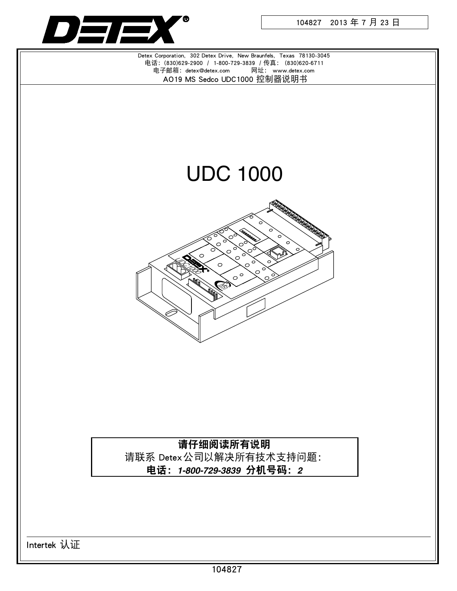

104827 2013年7月23日

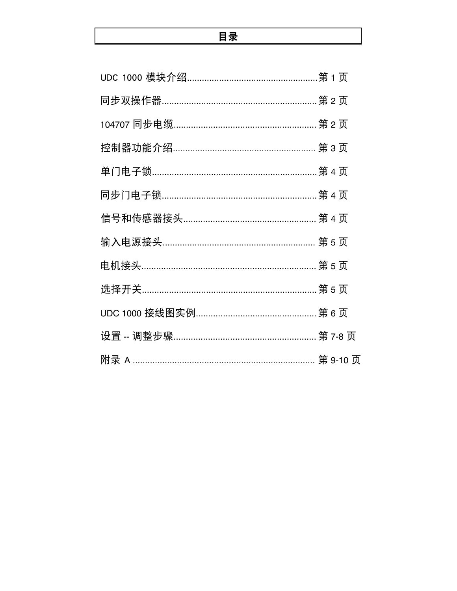# 目录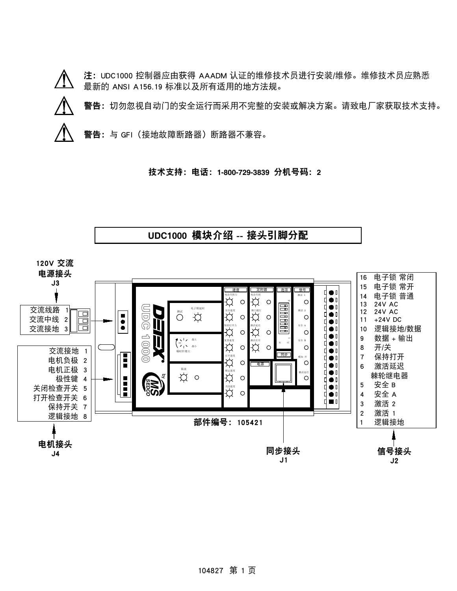

技术支持: 电话: 1-800-729-3839 分机号码: 2

UDC1000 模块介绍 -- 接头引脚分配



104827 第1页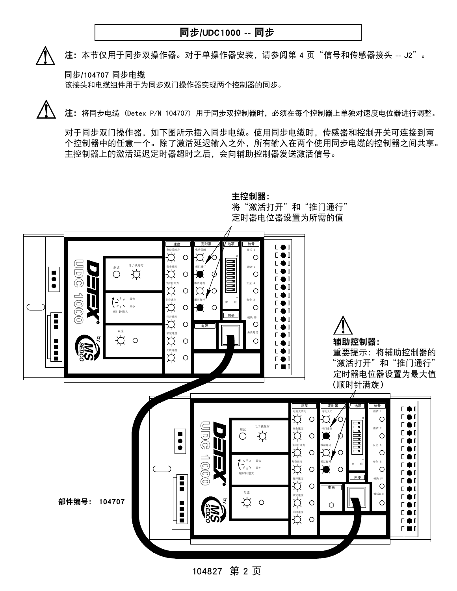### 同步/UDC1000 -- 同步

注: 本节仅用于同步双操作器。对于单操作器安装, 请参阅第 4 页"信号和传感器接头 -- J2"。

### 同步/104707 同步电缆

⁄ [\

该接头和电缆组件用于为同步双门操作器实现两个控制器的同步。

注: 将同步电缆 (Detex P/N 104707) 用于同步双控制器时, 必须在每个控制器上单独对速度电位器进行调整。

对于同步双门操作器,如下图所示插入同步电缆。使用同步电缆时,传感器和控制开关可连接到两 个控制器中的任意一个。除了激活延迟输入之外,所有输入在两个使用同步电缆的控制器之间共享。 主控制器上的激活延迟定时器超时之后,会向辅助控制器发送激活信号。

主控制器:



104827 第2页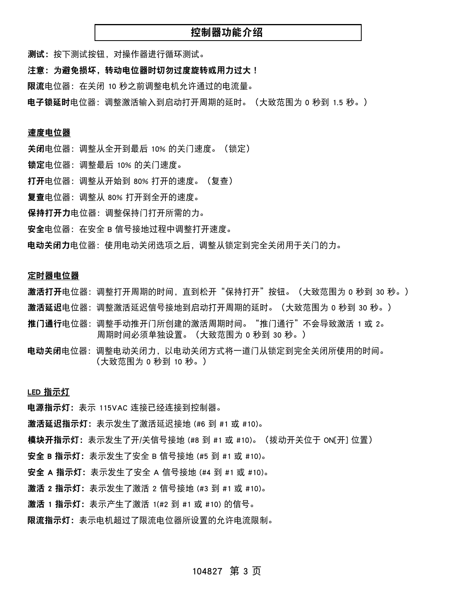### 控制器功能介绍

测试:按下测试按钮,对操作器讲行循环测试。

注意:为避免损坏,转动电位器时切勿过度旋转或用力过大!

限流电位器: 在关闭 10 秒之前调整电机允许通过的电流量。

**电子锁延时**电位器:调整激活输入到启动打开周期的延时。(大致范围为 0 秒到 1.5 秒。)

### 速度电位器

- 关闭电位器: 调整从全开到最后 10% 的关门速度。 (锁定)
- 锁定电位器: 调整最后 10% 的关门速度。
- 打开电位器: 调整从开始到 80% 打开的速度。(复查)
- 复查电位器: 调整从 80% 打开到全开的速度。
- 保持打开力电位器: 调整保持门打开所需的力。
- 安全电位器:在安全 B 信号接地过程中调整打开速度。

**电动关闭力**电位器:使用电动关闭选项之后,调整从锁定到完全关闭用于关门的力。

#### 定时器电位器

- 激活打开电位器:调整打开周期的时间,直到松开"保持打开"按钮。(大致范围为 0 秒到 30 秒。)
- 激活延迟电位器: 调整激活延迟信号接地到启动打开周期的延时。(大致范围为 0 秒到 30 秒。)
- 推门通行电位器:调整手动推开门所创建的激活周期时间。"推门通行"不会导致激活 1 或 2。 周期时间必须单独设置。(大致范围为 0 秒到 30 秒。)
- 电动关闭电位器:调整电动关闭力,以电动关闭方式将一道门从锁定到完全关闭所使用的时间。 (大致范围为 0 秒到 10 秒。)

### LED 指示灯

- 电源指示灯: 表示 115VAC 连接已经连接到控制器。
- 激活延迟指示灯:表示发生了激活延迟接地 (#6 到 #1 或 #10)。
- **模块开指示灯:**表示发生了开/关信号接地 (#8 到 #1 或 #10)。 (拨动开关位于 ON[开] 位置)
- 安全 B 指示灯: 表示发生了安全 B 信号接地 (#5 到 #1 或 #10)。
- 安全 A 指示灯: 表示发生了安全 A 信号接地 (#4 到 #1 或 #10)。
- 激活 2 指示灯: 表示发生了激活 2 信号接地 (#3 到 #1 或 #10)。
- 激活 1 指示灯: 表示产生了激活 1(#2 到 #1 或 #10) 的信号。
- **限流指示灯:**表示电机超过了限流电位器所设置的允许电流限制。

### 104827 第3页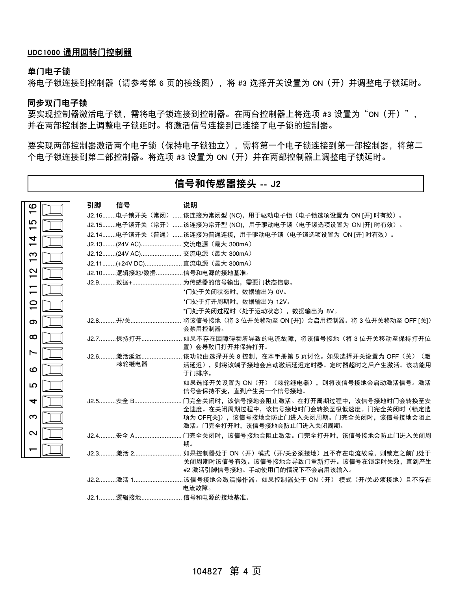### UDC1000 通用回转门控制器

### 单门电子锁

将电子锁连接到控制器(请参考第 6 页的接线图), 将 #3 选择开关设置为 ON (开) 并调整电子锁延时。

### 同步双门电子锁

要实现控制器激活电子锁,需将电子锁连接到控制器。在两台控制器上将选项 #3 设置为"ON (开)", 并在两部控制器上调整电子锁延时。将激活信号连接到已连接了电子锁的控制器。

要实现两部控制器激活两个电子锁(保持电子锁独立),需将第一个电子锁连接到第一部控制器,将第二 个电子锁连接到第二部控制器。 将选项 #3 设置为 ON (开) 并在两部控制器上调整电子锁延时。

|                               |                         | 信号和传感器接头 -- J2                                                                                                             |
|-------------------------------|-------------------------|----------------------------------------------------------------------------------------------------------------------------|
| ဖ                             | 引脚<br>信号                | 说明                                                                                                                         |
|                               |                         | J2.16电子锁开关(常闭)该连接为常闭型 (NC),用于驱动电子锁(电子锁选项设置为 ON [开] 时有效)。                                                                   |
| 51<br>1                       |                         | J2.15电子锁开关(常开)该连接为常开型 (NO),用于驱动电子锁(电子锁选项设置为 ON [开] 时有效)。                                                                   |
|                               |                         | J2.14……电子锁开关(普通)……该连接为普通连接,用于驱动电子锁(电子锁选项设置为 ON [开] 时有效)。                                                                   |
| ユ                             |                         | J2.13(24V AC) 交流电源 (最大 300mA)                                                                                              |
| ო                             |                         | J2.12(24V AC) 交流电源 (最大 300mA)                                                                                              |
| $\overline{\phantom{0}}$      |                         | J2.11(+24V DC) 直流电源 (最大 300mA)                                                                                             |
| 2<br>$\overline{\phantom{0}}$ | J2.10逻辑接地/数据信号和电源的接地基准。 |                                                                                                                            |
| ↽                             |                         |                                                                                                                            |
|                               |                         | *门处于关闭状态时, 数据输出为 OV。                                                                                                       |
| $\circ$                       |                         | *门处于打开周期时, 数据输出为 12V。                                                                                                      |
|                               |                         | *门处于关闭过程时(处于运动状态), 数据输出为 8V。                                                                                               |
|                               |                         | 会禁用控制器。                                                                                                                    |
|                               |                         | 置)会导致门打开并保持打开。                                                                                                             |
|                               |                         |                                                                                                                            |
|                               | 棘轮继电器                   | 活延迟),则将该端子接地会启动激活延迟定时器。定时器超时之后产生激活。该功能用<br>于门排序。                                                                           |
|                               |                         | 如果选择开关设置为 ON (开) (棘轮继电器), 则将该信号接地会启动激活信号。激活<br>信号会保持不变,直到产生另一个信号接地。                                                        |
|                               |                         |                                                                                                                            |
|                               |                         | 全速度。在关闭周期过程中,该信号接地时门会转换至极低速度。门完全关闭时(锁定选<br>项为 OFF[关]), 该信号接地会防止门进入关闭周期。门完全关闭时, 该信号接地会阻止<br>激活。门完全打开时,该信号接地会防止门进入关闭周期。      |
|                               |                         | 期。                                                                                                                         |
|                               |                         | 如果控制器处于 ON (开) 模式 (开/关必须接地) 且不存在电流故障, 则锁定之前门处于<br>关闭周期时该信号有效。该信号接地会导致门重新打开。该信号在锁定时失效,直到产生<br>#2 激活引脚信号接地。手动使用门的情况下不会启用该输入。 |
|                               |                         | 电流故障。                                                                                                                      |
|                               | J2.1逻辑接地 信号和电源的接地基准。    |                                                                                                                            |
|                               |                         |                                                                                                                            |

104827 第4页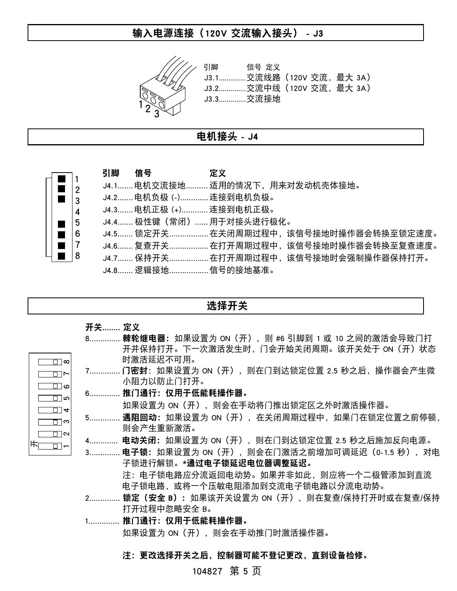# 输入电源连接 (120V 交流输入接头) - J3



引脚 信号 定义 J3.1.............. 交流线路 (120V 交流, 最大 3A) J3.2.............. 交流中线 (120V 交流, 最大 3A) J3.3..............交流接地

电机接头 - J4

|  | 1<br>$\overline{\mathbf{c}}$ |
|--|------------------------------|
|  | 3                            |
|  | 4                            |
|  | 5                            |
|  | 6                            |
|  | 7                            |
|  | 8                            |

ŦП

| 引脚 | こうしょう 信号 いいかい つだんとう 定义 かいこう こうしょう |                                        |
|----|-----------------------------------|----------------------------------------|
|    |                                   | J4.1 电机交流接地 适用的情况下, 用来对发动机壳体接地。        |
|    | J4.2 电机负极 (-) 连接到电机负极。            |                                        |
|    | J4.3电机正极 (+) 连接到电机正极。             |                                        |
|    |                                   | J4.4 极性键(常闭) 用于对接头进行极化。                |
|    |                                   | J4.5 锁定开关 在关闭周期过程中, 该信号接地时操作器会转换至锁定速度。 |
|    |                                   | J4.6 复查开关在打开周期过程中,该信号接地时操作器会转换至复查速度。   |
|    |                                   | J4.7 保持开关在打开周期过程中,该信号接地时会强制操作器保持打开。    |
|    | J4.8 逻辑接地信号的接地基准。                 |                                        |

# 选择开关

### 开关........ 定义

|                      | 8. | <b>棘轮继电器:</b> 如果设置为 ON(开),则 #6 引脚到 1 或 10 之间的激活会导致门打 |
|----------------------|----|------------------------------------------------------|
|                      |    | 开并保持打开。下一次激活发生时,门会开始关闭周期。该开关处于 ON(开)状态               |
| ⊡ு                   |    | 时激活延迟不可用。                                            |
| $\Box$ r             |    | 7 门 <b>密封:</b> 如果设置为 ON(开),则在门到达锁定位置 2.5 秒之后,操作器会产生微 |
| $\Box$ ہ             |    | 小阻力以防止门打开。                                           |
| $\overline{\Box}$ ما |    | 6 推门通行:仅用于低能耗操作器。                                    |
| $\Box$ 4             |    | 如果设置为 ON(开),则会在手动将门推出锁定区之外时激活操作器。                    |
| ⊡∣ო                  | 5  | 遇阻回动:如果设置为 on(开),在关闭周期过程中,如果门在锁定位置之前停顿,              |
| $\Box$ ស             |    | 则会产生重新激活。                                            |
| $\Box$ -             |    | 电动关闭:如果设置为 ON(开),则在门到达锁定位置 2.5 秒之后施加反向电源。            |
|                      | 3. | 电子锁: 如果设置为 ON (开), 则会在门激活之前增加可调延迟 (0-1.5 秒), 对电      |
|                      |    | 子锁进行解锁。*通过电子锁延迟电位器调整延迟。                              |
|                      |    | 注:电子锁电路应分流返回电动势。如果并非如此,则应将一个二极管添加到直流                 |
|                      |    | 电子锁电路,或将一个压敏电阻添加到交流电子锁电路以分流电动势。                      |
|                      | 2. | 锁定 (安全 B) : 如果该开关设置为 ON (开) , 则在复查/保持打开时或在复查/保持      |
|                      |    | 打开过程中忽略安全 B。                                         |
|                      |    | 1 推门通行:仅用于低能耗操作器。                                    |
|                      |    | 如果设置为 ON(开),则会在手动推门时激活操作器。                           |

### 注: 更改选择开关之后, 控制器可能不登记更改, 直到设备检修。

# 104827 第5页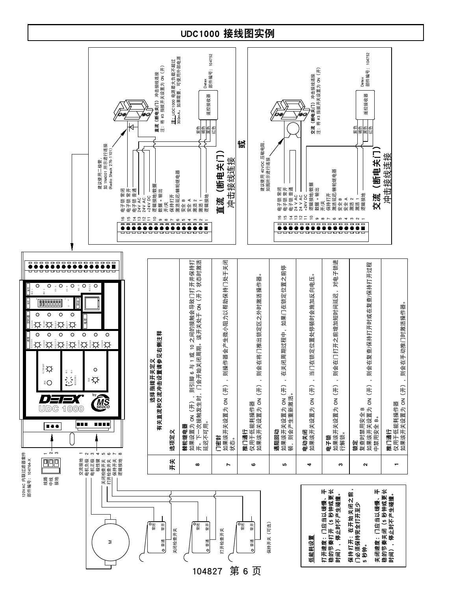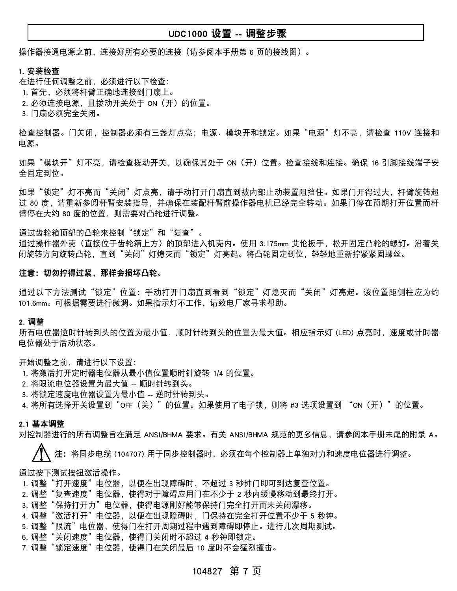### UDC1000 设置 -- 调整步骤

操作器接通电源之前,连接好所有必要的连接(请参阅本手册第 6 页的接线图)。

### 1. 安装检查

在进行任何调整之前, 必须进行以下检查: 1. 首先, 必须将杆臂正确地连接到门扇上。 2. 必须连接电源, 且拨动开关处于 ON (开) 的位置。 3. 门扇必须完全关闭。

检查控制器。门关闭,控制器必须有三盏灯点亮;电源、模块开和锁定。如果"电源"灯不亮,请检查 110V 连接和 电源。

如果"模块开"灯不亮,请检查拨动开关,以确保其处于 ON(开)位置。检查接线和连接。确保 16 引脚接线端子安 全固定到位。

如果"锁定"灯不亮而"关闭"灯点亮,请手动打开门扇直到被内部止动装置阻挡住。如果门开得过大,杆臂旋转超 过 80 度,请重新参阅杆臂安装指导,并确保在装配杆臂前操作器电机已经完全转动。如果门停在预期打开位置而杆 臂停在大约 80 度的位置, 则需要对凸轮进行调整。

通过齿轮箱顶部的凸轮来控制"锁定"和"复查"。

通过操作器外壳(直接位于齿轮箱上方)的顶部进入机壳内。使用 3.175mm 艾伦扳手, 松开固定凸轮的螺钉。沿着关 闭旋转方向旋转凸轮,直到"关闭"灯熄灭而"锁定"灯亮起。将凸轮固定到位,轻轻地重新拧紧紧固螺丝。

### 注意: 切勿拧得过紧, 那样会损坏凸轮。

通过以下方法测试"锁定"位置:手动打开门扇直到看到"锁定"灯熄灭而"关闭"灯亮起。该位置距侧柱应为约 101.6mm。可根据需要进行微调。如果指示灯不工作,请致电厂家寻求帮助。

#### 2. 调整

所有电位器逆时针转到头的位置为最小值,顺时针转到头的位置为最大值。相应指示灯(LED) 点亮时,速度或计时器 电位器处于活动状态。

开始调整之前, 请进行以下设置:

- 1. 将激活打开定时器电位器从最小值位置顺时针旋转 1/4 的位置。
- 2. 将限流电位器设置为最大值 -- 顺时针转到头。
- 3. 将锁定速度电位器设置为最小值 -- 逆时针转到头。
- 4. 将所有选择开关设置到"OFF(关)"的位置。如果使用了电子锁, 则将 #3 选项设置到 "ON(开)"的位置。

### 2.1 基本调整

对控制器进行的所有调整旨在满足 ANSI/BHMA 要求。有关 ANSI/BHMA 规范的更多信息,请参阅本手册末尾的附录 A。

注: 将同步电缆 (104707) 用于同步控制器时, 必须在每个控制器上单独对力和速度电位器进行调整。

通过按下测试按钮激活操作。

- 1. 调整"打开速度"电位器,以便在出现障碍时,不超过 3 秒钟门即可到达复查位置。
- 2. 调整"复查速度"电位器,使得对于障碍应用门在不少于 2 秒内缓慢移动到最终打开。
- 3. 调整"保持打开力"电位器,使得电源刚好能够保持门完全打开而未关闭漂移。
- 4. 调整"激活打开"电位器, 以便在出现障碍时, 门保持在完全打开位置不少于 5 秒钟。
- 5. 调整"限流"电位器,使得门在打开周期过程中遇到障碍即停止。进行几次周期测试。
- 6. 调整"关闭速度"电位器,使得门关闭时不超过 4 秒钟即锁定。
- 7. 调整"锁定速度"电位器, 使得门在关闭最后 10 度时不会猛烈撞击。

### 104827 第7页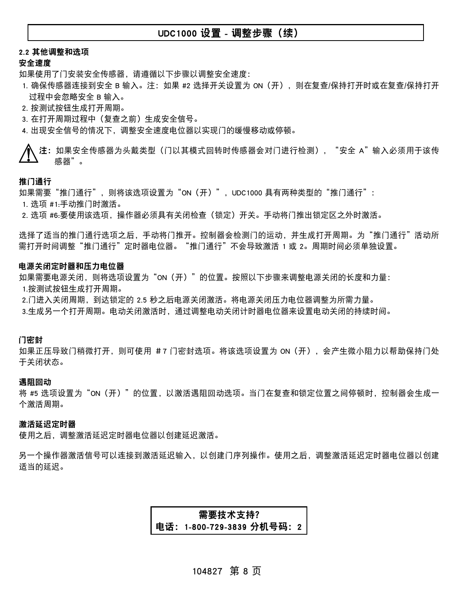### UDC1000 设置 - 调整步骤 (续)

#### 2.2 其他调整和选项

#### 安全速度

如果使用了门安装安全传感器,请遵循以下步骤以调整安全速度:

1. 确保传感器连接到安全 B 输入。注:如果 #2 选择开关设置为 ON(开),则在复查/保持打开时或在复查/保持打开 过程中会忽略安全 B 输入。

- 2. 按测试按钮生成打开周期。
- 3. 在打开周期过程中(复查之前)生成安全信号。
- 4. 出现安全信号的情况下,调整安全速度电位器以实现门的缓慢移动或停顿。

注: 如果安全传感器为头戴类型(门以其模式回转时传感器会对门进行检测), "安全 A"输入必须用于该传 感器"。

### 推门通行

如果需要"推门通行",则将该选项设置为"ON(开)",UDC1000 具有两种类型的"推门通行":

1. 选项 #1.手动推门时激活。

2. 选项 #6:要使用该选项,操作器必须具有关闭检查(锁定)开关。手动将门推出锁定区之外时激活。

选择了适当的推门通行选项之后,手动将门推开。控制器会检测门的运动,并生成打开周期。为"推门通行"活动所 需打开时间调整"推门通行"定时器电位器。"推门通行"不会导致激活 1 或 2。周期时间必须单独设置。

### 电源关闭定时器和压力电位器

如果需要电源关闭,则将选项设置为"on(开)"的位置。按照以下步骤来调整电源关闭的长度和力量:

1.按测试按钮生成打开周期。

2.门进入关闭周期,到达锁定的 2.5 秒之后电源关闭激活。将电源关闭压力电位器调整为所需力量。

3.生成另一个打开周期。 电动关闭激活时,通过调整电动关闭计时器电位器来设置电动关闭的持续时间。

### 门密封

如果正压导致门稍微打开,则可使用 #7 门密封选项。将该选项设置为 ON(开),会产生微小阻力以帮助保持门处 干关闭状态。

#### 遇阻回动

将 #5 选项设置为"ON(开)"的位置,以激活遇阻回动选项。当门在复查和锁定位置之间停顿时,控制器会生成一 个激活周期。

### 激活延迟定时器

使用之后,调整激活延迟定时器电位器以创建延迟激活。

另一个操作器激活信号可以连接到激活延迟输入,以创建门序列操作。使用之后,调整激活延迟定时器电位器以创建 话当的延识。

> 需要技术支持? 电话:1-800-729-3839 分机号码:2

### 104827 第8页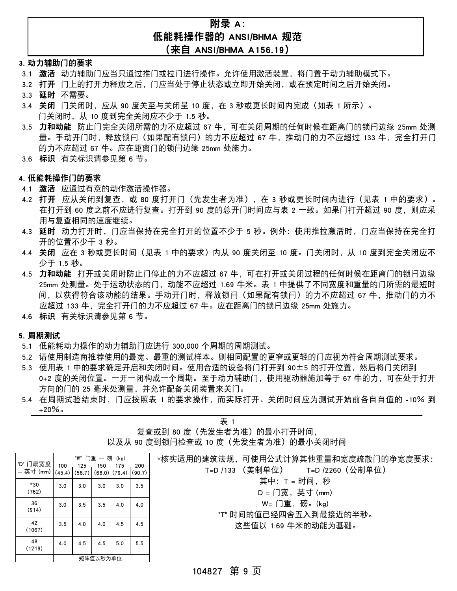### 附录 A: 低能耗操作器的 ANSI/BHMA 规范 (来自 ANSI/BHMA A156.19)

### 3. 动力辅助门的要求

- 3.1 激活 动力辅助门应当只通过推门或拉门进行操作。允许使用激活装置,将门置于动力辅助模式下。
- 3.2 打开 门上的打开力释放之后,门应当处于停止状态或立即开始关闭,或在预定时间之后开始关闭。
- 3.3 延时 不需要。
- 3.4 关闭 门关闭时,应从 90 度关至与关闭呈 10 度,在 3 秒或更长时间内完成(如表 1 所示)。 门关闭时, 从 10 度到完全关闭应不少于 1.5 秒。
- 3.5 力和动能 防止门完全关闭所需的力不应超过 67 牛, 可在关闭周期的任何时候在距离门的锁闩边缘 25mm 处测 量。手动开门时,释放锁闩(如果配有锁闩)的力不应超过 67 牛, 推动门的力不应超过 133 牛, 完全打开门 的力不应超过 67 牛。应在距离门的锁闩边缘 25mm 处施力。
- 3.6 标识 有关标识请参见第 6 节。

### 4. 低能耗操作门的要求

- 4.1 激活 应通过有意的动作激活操作器。
- 4.2 打开 应从关闭到复查, 或 80 度打开门 (先发生者为准), 在 3 秒或更长时间内进行 (见表 1 中的要求)。 在打开到 60 度之前不应进行复查。打开到 90 度的总开门时间应与表 2 一致。如果门打开超过 90 度,则应采 用与复查相同的速度继续。
- 4.3  **延时**  动力打开时,门应当保持在完全打开的位置不少于 5 秒。例外:使用推拉激活时,门应当保持在完全打 开的位置不少于 3 秒。
- 4.4 **关闭** 应在 3 秒或更长时间(见表 1 中的要求)内从 90 度关闭至 10 度。门关闭时,从 10 度到完全关闭应不 少于 1.5 秒。
- 4.5 力和动能 打开或关闭时防止门停止的力不应超过 67 牛,可在打开或关闭过程的任何时候在距离门的锁闩边缘 25mm 处测量。处于运动状态的门,动能不应超过 1.69 牛米。表 1 中提供了不同宽度和重量的门所需的最短时 间, 以获得符合该动能的结果。手动开门时, 释放锁闩 (如果配有锁闩) 的力不应超过 67 牛, 推动门的力不 应超过 133 牛,完全打开门的力不应超过 67 牛。应在距离门的锁闩边缘 25mm 处施力。
- 4.6 标识 有关标识请参见第 6 节。

矩阵值以秒为单位

#### 5. 周期测试

- 5.1 低能耗动力操作的动力辅助门应进行 300,000 个周期的周期测试。
- 5.2 请使用制造商推荐使用的最宽、最重的测试样本。则相同配置的更窄或更轻的门应视为符合周期测试要求。
- 5.3 使用表 1 中的要求确定开启和关闭时间。使用合适的设备将门打开到 90±5 的打开位置,然后将门关闭到 0+2 度的关闭位置。一开一闭构成一个周期。至于动力辅助门, 使用驱动器施加等于 67 牛的力, 可在处于打开 方向的门的 25 毫米处测量, 并允许配备关闭装置来关门。
- 5.4 在周期试验结束时,门应按照表 1 的要求操作,而实际打开、关闭时间应为测试开始前各自自值的 -10% 到  $+20\%$ .  $\overline{\texttt{+}}$  .

|                        |               |               |                         |                          |               | 复查或到 80 度(先发生者为准)的最小打开时间,<br>以及从 90 度到锁闩检查或 10 度(先发生者为准)的最小关闭时间 |
|------------------------|---------------|---------------|-------------------------|--------------------------|---------------|-----------------------------------------------------------------|
| "D" 门扇宽度<br>-- 英寸 (mm) | 100<br>(45.4) | 125<br>(56.7) | "W" 门重 -- 磅 (kg)<br>150 | . 175<br>  (68.0) (79.4) | 200<br>(90.7) | *核实适用的建筑法规,可使用公式计算其他重量和宽度疏散门的净宽度要求:                             |
| $*30$<br>(762)         | 3.0           | 3.0           | 3.0                     | 3.0                      | 3.5           | 其中: T = 时间, 秒<br>$D = \Box \mathcal{B}$ , 英寸 (mm)               |
| 36<br>(914)            | 3.0           | 3.5           | 3.5                     | 4.0                      | 4.0           | $W = \Box$ 重, 磅。(kg)<br>"T" 时间的值已经四舍五入到最接近的半秒。                  |
| 42<br>(1067)           | 3.5           | 4.0           | 4.0                     | 4.5                      | 4.5           | 这些值以 1.69 牛米的动能为基础。                                             |
| 48<br>(1219)           | 4.0           | 4.5           | 4.5                     | 5.0                      | 5.5           |                                                                 |

104827 第9页